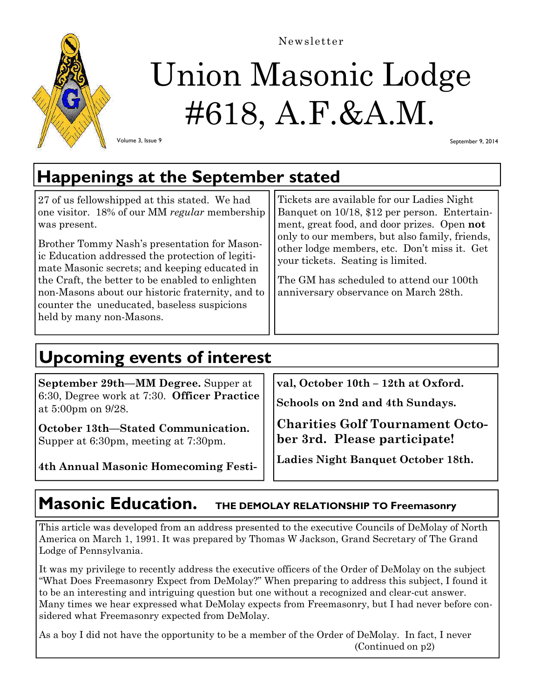

Newsletter

# Union Masonic Lodge #618, A.F.&A.M.

Volume 3, Issue 9

September 9, 2014

## **Happenings at the September stated**

| 27 of us fellowshipped at this stated. We had<br>one visitor. 18% of our MM regular membership<br>was present.<br>Brother Tommy Nash's presentation for Mason-<br>ic Education addressed the protection of legiti-<br>mate Masonic secrets; and keeping educated in<br>the Craft, the better to be enabled to enlighten<br>non-Masons about our historic fraternity, and to<br>counter the uneducated, baseless suspicions<br>held by many non-Masons. | Tickets are available for our Ladies Night<br>Banquet on 10/18, \$12 per person. Entertain-<br>ment, great food, and door prizes. Open not<br>only to our members, but also family, friends,<br>other lodge members, etc. Don't miss it. Get<br>your tickets. Seating is limited.<br>The GM has scheduled to attend our 100th<br>anniversary observance on March 28th. |
|--------------------------------------------------------------------------------------------------------------------------------------------------------------------------------------------------------------------------------------------------------------------------------------------------------------------------------------------------------------------------------------------------------------------------------------------------------|------------------------------------------------------------------------------------------------------------------------------------------------------------------------------------------------------------------------------------------------------------------------------------------------------------------------------------------------------------------------|
|--------------------------------------------------------------------------------------------------------------------------------------------------------------------------------------------------------------------------------------------------------------------------------------------------------------------------------------------------------------------------------------------------------------------------------------------------------|------------------------------------------------------------------------------------------------------------------------------------------------------------------------------------------------------------------------------------------------------------------------------------------------------------------------------------------------------------------------|

## **Upcoming events of interest**

**September 29th—MM Degree.** Supper at 6:30, Degree work at 7:30. **Officer Practice**  at 5:00pm on 9/28.

**October 13th—Stated Communication.**  Supper at 6:30pm, meeting at 7:30pm.

**4th Annual Masonic Homecoming Festi-**

**val, October 10th – 12th at Oxford.**

**Schools on 2nd and 4th Sundays.** 

**Charities Golf Tournament October 3rd. Please participate!**

**Ladies Night Banquet October 18th.**

### **Masonic Education.** THE DEMOLAY RELATIONSHIP TO Freemasonry

This article was developed from an address presented to the executive Councils of DeMolay of North America on March 1, 1991. It was prepared by Thomas W Jackson, Grand Secretary of The Grand Lodge of Pennsylvania.

It was my privilege to recently address the executive officers of the Order of DeMolay on the subject "What Does Freemasonry Expect from DeMolay?" When preparing to address this subject, I found it to be an interesting and intriguing question but one without a recognized and clear-cut answer. Many times we hear expressed what DeMolay expects from Freemasonry, but I had never before considered what Freemasonry expected from DeMolay.

As a boy I did not have the opportunity to be a member of the Order of DeMolay. In fact, I never (Continued on p2)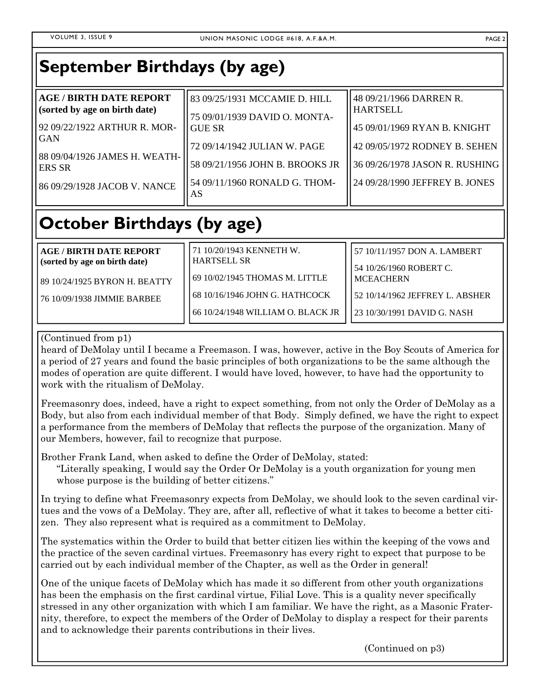| <b>September Birthdays (by age)</b>                                                                                                                                                      |                                                                                                                                                                                           |                                                                                                                                                                                 |
|------------------------------------------------------------------------------------------------------------------------------------------------------------------------------------------|-------------------------------------------------------------------------------------------------------------------------------------------------------------------------------------------|---------------------------------------------------------------------------------------------------------------------------------------------------------------------------------|
| <b>AGE / BIRTH DATE REPORT</b><br>(sorted by age on birth date)<br>92 09/22/1922 ARTHUR R. MOR-<br>GAN<br>88 09/04/1926 JAMES H. WEATH-<br><b>ERS SR</b><br>86 09/29/1928 JACOB V. NANCE | 83 09/25/1931 MCCAMIE D. HILL<br>75 09/01/1939 DAVID O. MONTA-<br><b>GUE SR</b><br>72 09/14/1942 JULIAN W. PAGE<br>58 09/21/1956 JOHN B. BROOKS JR<br>54 09/11/1960 RONALD G. THOM-<br>AS | 48 09/21/1966 DARREN R.<br><b>HARTSELL</b><br>45 09/01/1969 RYAN B. KNIGHT<br>42 09/05/1972 RODNEY B. SEHEN<br>36 09/26/1978 JASON R. RUSHING<br>24 09/28/1990 JEFFREY B. JONES |
|                                                                                                                                                                                          |                                                                                                                                                                                           |                                                                                                                                                                                 |

## **October Birthdays (by age)**

| AGE / BIRTH DATE REPORT<br>(sorted by age on birth date) | 71 10/20/1943 KENNETH W.<br><b>HARTSELL SR</b> | 157 10/11/1957 DON A. LAMBERT<br>l 54 10/26/1960 ROBERT C. |
|----------------------------------------------------------|------------------------------------------------|------------------------------------------------------------|
| l 89 10/24/1925 BYRON H. BEATTY                          | 69 10/02/1945 THOMAS M. LITTLE                 | l MCEACHERN                                                |
| 176 10/09/1938 JIMMIE BARBEE                             | 168 10/16/1946 JOHN G. HATHCOCK                | 52 10/14/1962 JEFFREY L. ABSHER                            |
|                                                          | 66 10/24/1948 WILLIAM O. BLACK JR              | 23 10/30/1991 DAVID G. NASH                                |

#### (Continued from p1)

heard of DeMolay until I became a Freemason. I was, however, active in the Boy Scouts of America for a period of 27 years and found the basic principles of both organizations to be the same although the modes of operation are quite different. I would have loved, however, to have had the opportunity to work with the ritualism of DeMolay.

Freemasonry does, indeed, have a right to expect something, from not only the Order of DeMolay as a Body, but also from each individual member of that Body. Simply defined, we have the right to expect a performance from the members of DeMolay that reflects the purpose of the organization. Many of our Members, however, fail to recognize that purpose.

Brother Frank Land, when asked to define the Order of DeMolay, stated:

"Literally speaking, I would say the Order Or DeMolay is a youth organization for young men whose purpose is the building of better citizens."

In trying to define what Freemasonry expects from DeMolay, we should look to the seven cardinal virtues and the vows of a DeMolay. They are, after all, reflective of what it takes to become a better citizen. They also represent what is required as a commitment to DeMolay.

The systematics within the Order to build that better citizen lies within the keeping of the vows and the practice of the seven cardinal virtues. Freemasonry has every right to expect that purpose to be carried out by each individual member of the Chapter, as well as the Order in general!

One of the unique facets of DeMolay which has made it so different from other youth organizations has been the emphasis on the first cardinal virtue, Filial Love. This is a quality never specifically stressed in any other organization with which I am familiar. We have the right, as a Masonic Fraternity, therefore, to expect the members of the Order of DeMolay to display a respect for their parents and to acknowledge their parents contributions in their lives.

(Continued on p3)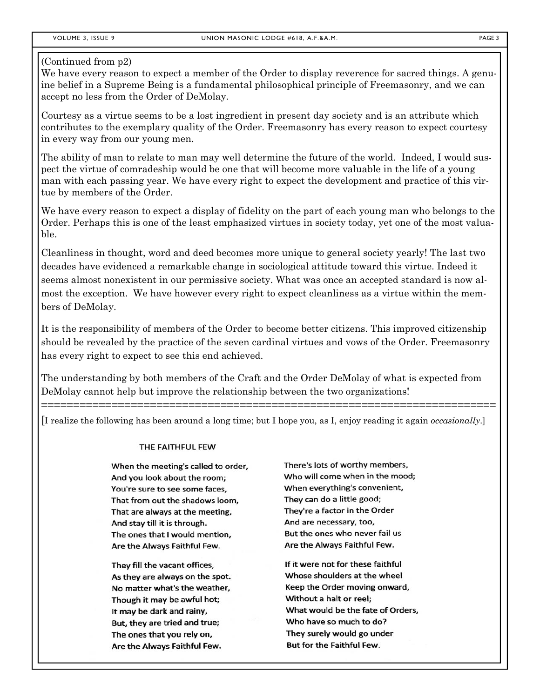#### (Continued from p2)

We have every reason to expect a member of the Order to display reverence for sacred things. A genuine belief in a Supreme Being is a fundamental philosophical principle of Freemasonry, and we can accept no less from the Order of DeMolay.

Courtesy as a virtue seems to be a lost ingredient in present day society and is an attribute which contributes to the exemplary quality of the Order. Freemasonry has every reason to expect courtesy in every way from our young men.

The ability of man to relate to man may well determine the future of the world. Indeed, I would suspect the virtue of comradeship would be one that will become more valuable in the life of a young man with each passing year. We have every right to expect the development and practice of this virtue by members of the Order.

We have every reason to expect a display of fidelity on the part of each young man who belongs to the Order. Perhaps this is one of the least emphasized virtues in society today, yet one of the most valuable.

Cleanliness in thought, word and deed becomes more unique to general society yearly! The last two decades have evidenced a remarkable change in sociological attitude toward this virtue. Indeed it seems almost nonexistent in our permissive society. What was once an accepted standard is now almost the exception. We have however every right to expect cleanliness as a virtue within the members of DeMolay.

It is the responsibility of members of the Order to become better citizens. This improved citizenship should be revealed by the practice of the seven cardinal virtues and vows of the Order. Freemasonry has every right to expect to see this end achieved.

The understanding by both members of the Craft and the Order DeMolay of what is expected from DeMolay cannot help but improve the relationship between the two organizations!

[I realize the following has been around a long time; but I hope you, as I, enjoy reading it again *occasionally*.]

=======================================================================

#### THE FAITHFUL FEW

When the meeting's called to order, And you look about the room: You're sure to see some faces, That from out the shadows loom, That are always at the meeting, And stay till it is through. The ones that I would mention, Are the Always Faithful Few.

They fill the vacant offices, As they are always on the spot. No matter what's the weather, Though it may be awful hot; It may be dark and rainy, But, they are tried and true; The ones that you rely on, Are the Always Faithful Few.

There's lots of worthy members, Who will come when in the mood; When everything's convenient, They can do a little good; They're a factor in the Order And are necessary, too, But the ones who never fail us Are the Alwavs Faithful Few.

If it were not for these faithful Whose shoulders at the wheel Keep the Order moving onward, Without a halt or reel: What would be the fate of Orders, Who have so much to do? They surely would go under But for the Faithful Few.